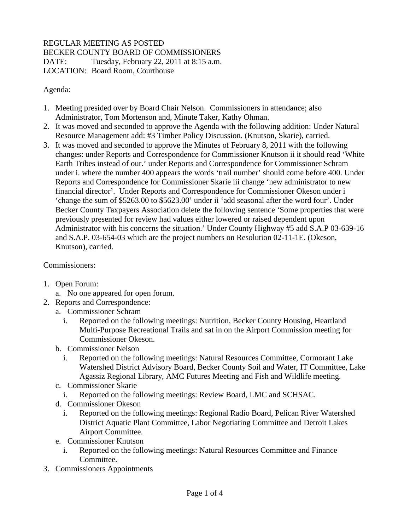## REGULAR MEETING AS POSTED BECKER COUNTY BOARD OF COMMISSIONERS DATE: Tuesday, February 22, 2011 at 8:15 a.m. LOCATION: Board Room, Courthouse

Agenda:

- 1. Meeting presided over by Board Chair Nelson. Commissioners in attendance; also Administrator, Tom Mortenson and, Minute Taker, Kathy Ohman.
- 2. It was moved and seconded to approve the Agenda with the following addition: Under Natural Resource Management add: #3 Timber Policy Discussion. (Knutson, Skarie), carried.
- 3. It was moved and seconded to approve the Minutes of February 8, 2011 with the following changes: under Reports and Correspondence for Commissioner Knutson ii it should read 'White Earth Tribes instead of our.' under Reports and Correspondence for Commissioner Schram under i. where the number 400 appears the words 'trail number' should come before 400. Under Reports and Correspondence for Commissioner Skarie iii change 'new administrator to new financial director'. Under Reports and Correspondence for Commissioner Okeson under i 'change the sum of \$5263.00 to \$5623.00' under ii 'add seasonal after the word four'. Under Becker County Taxpayers Association delete the following sentence 'Some properties that were previously presented for review had values either lowered or raised dependent upon Administrator with his concerns the situation.' Under County Highway #5 add S.A.P 03-639-16 and S.A.P. 03-654-03 which are the project numbers on Resolution 02-11-1E. (Okeson, Knutson), carried.

Commissioners:

- 1. Open Forum:
	- a. No one appeared for open forum.
- 2. Reports and Correspondence:
	- a. Commissioner Schram
		- i. Reported on the following meetings: Nutrition, Becker County Housing, Heartland Multi-Purpose Recreational Trails and sat in on the Airport Commission meeting for Commissioner Okeson.
	- b. Commissioner Nelson
		- i. Reported on the following meetings: Natural Resources Committee, Cormorant Lake Watershed District Advisory Board, Becker County Soil and Water, IT Committee, Lake Agassiz Regional Library, AMC Futures Meeting and Fish and Wildlife meeting.
	- c. Commissioner Skarie
		- i. Reported on the following meetings: Review Board, LMC and SCHSAC.
	- d. Commissioner Okeson
		- i. Reported on the following meetings: Regional Radio Board, Pelican River Watershed District Aquatic Plant Committee, Labor Negotiating Committee and Detroit Lakes Airport Committee.
	- e. Commissioner Knutson
		- i. Reported on the following meetings: Natural Resources Committee and Finance Committee.
- 3. Commissioners Appointments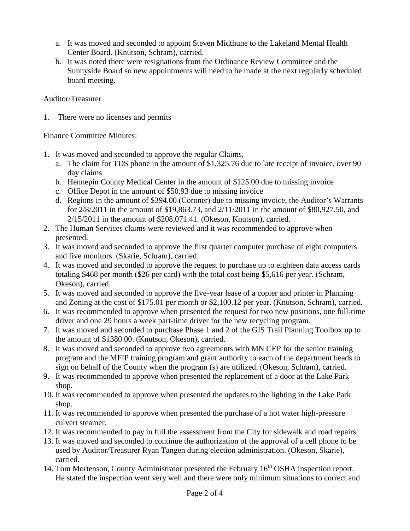- a. It was moved and seconded to appoint Steven Midthune to the Lakeland Mental Health Center Board. (Knutson, Schram), carried.
- b. It was noted there were resignations from the Ordinance Review Committee and the Sunnyside Board so new appointments will need to be made at the next regularly scheduled board meeting.

## Auditor/Treasurer

1. There were no licenses and permits

## Finance Committee Minutes:

- 1. It was moved and seconded to approve the regular Claims,
	- a. The claim for TDS phone in the amount of \$1,325.76 due to late receipt of invoice, over 90 day claims
	- b. Hennepin County Medical Center in the amount of \$125.00 due to missing invoice
	- c. Office Depot in the amount of \$50.93 due to missing invoice
	- d. Regions in the amount of \$394.00 (Coroner) due to missing invoice, the Auditor's Warrants for 2/8/2011 in the amount of \$19,863.73, and 2/11/2011 in the amount of \$80,927.50, and 2/15/2011 in the amount of \$208,071.41. (Okeson, Knutson), carried.
- 2. The Human Services claims were reviewed and it was recommended to approve when presented.
- 3. It was moved and seconded to approve the first quarter computer purchase of eight computers and five monitors. (Skarie, Schram), carried.
- 4. It was moved and seconded to approve the request to purchase up to eighteen data access cards totaling \$468 per month (\$26 per card) with the total cost being \$5,616 per year. (Schram, Okeson), carried.
- 5. It was moved and seconded to approve the five-year lease of a copier and printer in Planning and Zoning at the cost of \$175.01 per month or \$2,100.12 per year. (Knutson, Schram), carried.
- 6. It was recommended to approve when presented the request for two new positions, one full-time driver and one 29 hours a week part-time driver for the new recycling program.
- 7. It was moved and seconded to purchase Phase 1 and 2 of the GIS Trail Planning Toolbox up to the amount of \$1380.00. (Knutson, Okeson), carried.
- 8. It was moved and seconded to approve two agreements with MN CEP for the senior training program and the MFIP training program and grant authority to each of the department heads to sign on behalf of the County when the program (s) are utilized. (Okeson, Schram), carried.
- 9. It was recommended to approve when presented the replacement of a door at the Lake Park shop.
- 10. It was recommended to approve when presented the updates to the lighting in the Lake Park shop.
- 11. It was recommended to approve when presented the purchase of a hot water high-pressure culvert steamer.
- 12. It was recommended to pay in full the assessment from the City for sidewalk and road repairs.
- 13. It was moved and seconded to continue the authorization of the approval of a cell phone to be used by Auditor/Treasurer Ryan Tangen during election administration. (Okeson, Skarie), carried.
- 14. Tom Mortenson, County Administrator presented the February 16<sup>th</sup> OSHA inspection report. He stated the inspection went very well and there were only minimum situations to correct and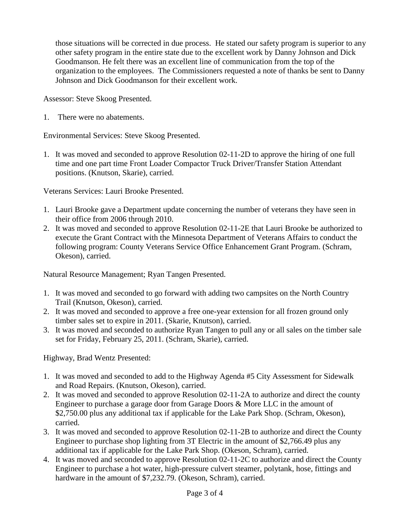those situations will be corrected in due process. He stated our safety program is superior to any other safety program in the entire state due to the excellent work by Danny Johnson and Dick Goodmanson. He felt there was an excellent line of communication from the top of the organization to the employees. The Commissioners requested a note of thanks be sent to Danny Johnson and Dick Goodmanson for their excellent work.

Assessor: Steve Skoog Presented.

1. There were no abatements.

Environmental Services: Steve Skoog Presented.

1. It was moved and seconded to approve Resolution 02-11-2D to approve the hiring of one full time and one part time Front Loader Compactor Truck Driver/Transfer Station Attendant positions. (Knutson, Skarie), carried.

Veterans Services: Lauri Brooke Presented.

- 1. Lauri Brooke gave a Department update concerning the number of veterans they have seen in their office from 2006 through 2010.
- 2. It was moved and seconded to approve Resolution 02-11-2E that Lauri Brooke be authorized to execute the Grant Contract with the Minnesota Department of Veterans Affairs to conduct the following program: County Veterans Service Office Enhancement Grant Program. (Schram, Okeson), carried.

Natural Resource Management; Ryan Tangen Presented.

- 1. It was moved and seconded to go forward with adding two campsites on the North Country Trail (Knutson, Okeson), carried.
- 2. It was moved and seconded to approve a free one-year extension for all frozen ground only timber sales set to expire in 2011. (Skarie, Knutson), carried.
- 3. It was moved and seconded to authorize Ryan Tangen to pull any or all sales on the timber sale set for Friday, February 25, 2011. (Schram, Skarie), carried.

Highway, Brad Wentz Presented:

- 1. It was moved and seconded to add to the Highway Agenda #5 City Assessment for Sidewalk and Road Repairs. (Knutson, Okeson), carried.
- 2. It was moved and seconded to approve Resolution 02-11-2A to authorize and direct the county Engineer to purchase a garage door from Garage Doors & More LLC in the amount of \$2,750.00 plus any additional tax if applicable for the Lake Park Shop. (Schram, Okeson), carried.
- 3. It was moved and seconded to approve Resolution 02-11-2B to authorize and direct the County Engineer to purchase shop lighting from 3T Electric in the amount of \$2,766.49 plus any additional tax if applicable for the Lake Park Shop. (Okeson, Schram), carried.
- 4. It was moved and seconded to approve Resolution 02-11-2C to authorize and direct the County Engineer to purchase a hot water, high-pressure culvert steamer, polytank, hose, fittings and hardware in the amount of \$7,232.79. (Okeson, Schram), carried.